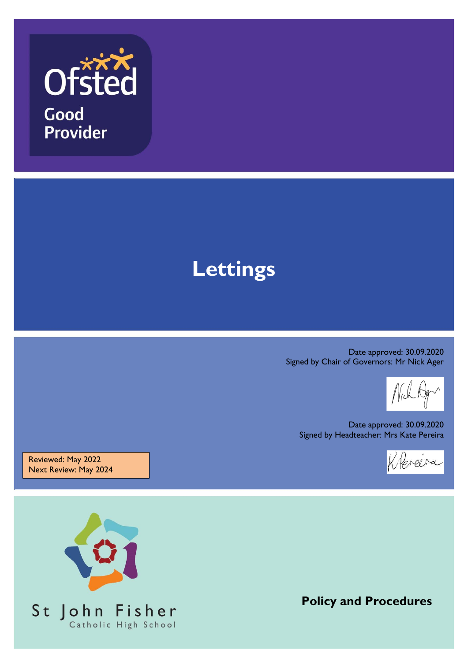

Good **Provider** 

# **Lettings**

Date approved: 30.09.2020 Signed by Chair of Governors: Mr Nick Ager

Date approved: 30.09.2020 Signed by Headteacher: Mrs Kate Pereira



Reviewed: May 2022 Next Review: May 2024



**Policy and Procedures**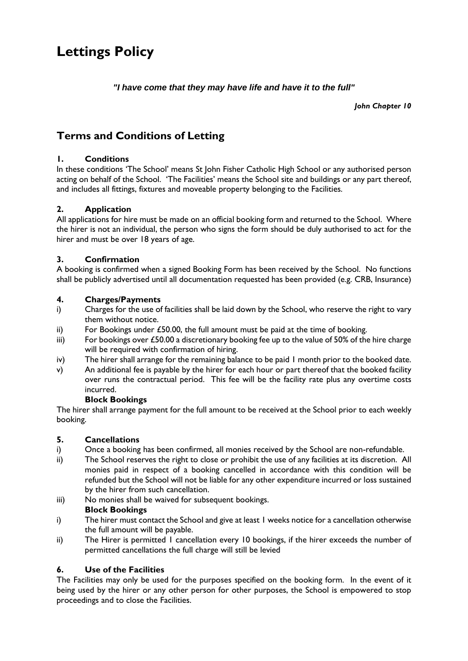# **Lettings Policy**

*"I have come that they may have life and have it to the full"*

*John Chapter 10*

## **Terms and Conditions of Letting**

#### **1. Conditions**

In these conditions 'The School' means St John Fisher Catholic High School or any authorised person acting on behalf of the School. 'The Facilities' means the School site and buildings or any part thereof, and includes all fittings, fixtures and moveable property belonging to the Facilities.

#### **2. Application**

All applications for hire must be made on an official booking form and returned to the School. Where the hirer is not an individual, the person who signs the form should be duly authorised to act for the hirer and must be over 18 years of age.

#### **3. Confirmation**

A booking is confirmed when a signed Booking Form has been received by the School. No functions shall be publicly advertised until all documentation requested has been provided (e.g. CRB, Insurance)

#### **4. Charges/Payments**

- i) Charges for the use of facilities shall be laid down by the School, who reserve the right to vary them without notice.
- ii) For Bookings under  $£50.00$ , the full amount must be paid at the time of booking.
- iii) For bookings over  $\text{\textsterling}50.00$  a discretionary booking fee up to the value of 50% of the hire charge will be required with confirmation of hiring.
- iv) The hirer shall arrange for the remaining balance to be paid 1 month prior to the booked date.
- v) An additional fee is payable by the hirer for each hour or part thereof that the booked facility over runs the contractual period. This fee will be the facility rate plus any overtime costs incurred.

#### **Block Bookings**

The hirer shall arrange payment for the full amount to be received at the School prior to each weekly booking.

#### **5. Cancellations**

- i) Once a booking has been confirmed, all monies received by the School are non-refundable.
- ii) The School reserves the right to close or prohibit the use of any facilities at its discretion. All monies paid in respect of a booking cancelled in accordance with this condition will be refunded but the School will not be liable for any other expenditure incurred or loss sustained by the hirer from such cancellation.
- iii) No monies shall be waived for subsequent bookings.

#### **Block Bookings**

- i) The hirer must contact the School and give at least 1 weeks notice for a cancellation otherwise the full amount will be payable.
- ii) The Hirer is permitted 1 cancellation every 10 bookings, if the hirer exceeds the number of permitted cancellations the full charge will still be levied

#### **6. Use of the Facilities**

The Facilities may only be used for the purposes specified on the booking form. In the event of it being used by the hirer or any other person for other purposes, the School is empowered to stop proceedings and to close the Facilities.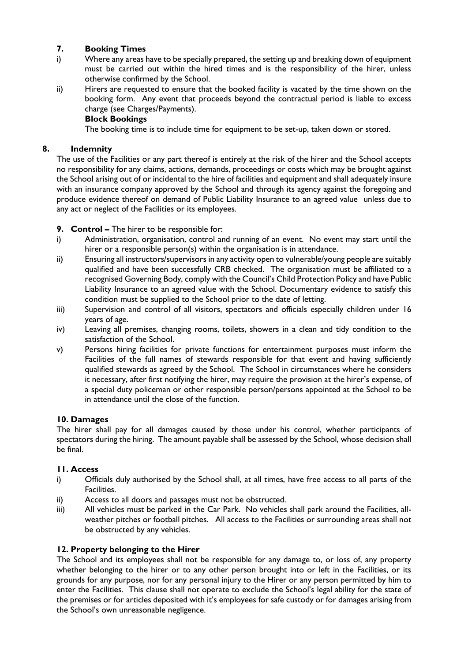#### **7. Booking Times**

- i) Where any areas have to be specially prepared, the setting up and breaking down of equipment must be carried out within the hired times and is the responsibility of the hirer, unless otherwise confirmed by the School.
- ii) Hirers are requested to ensure that the booked facility is vacated by the time shown on the booking form. Any event that proceeds beyond the contractual period is liable to excess charge (see Charges/Payments).

#### **Block Bookings**

The booking time is to include time for equipment to be set-up, taken down or stored.

#### **8. Indemnity**

The use of the Facilities or any part thereof is entirely at the risk of the hirer and the School accepts no responsibility for any claims, actions, demands, proceedings or costs which may be brought against the School arising out of or incidental to the hire of facilities and equipment and shall adequately insure with an insurance company approved by the School and through its agency against the foregoing and produce evidence thereof on demand of Public Liability Insurance to an agreed value unless due to any act or neglect of the Facilities or its employees.

#### **9. Control –** The hirer to be responsible for:

- i) Administration, organisation, control and running of an event. No event may start until the hirer or a responsible person(s) within the organisation is in attendance.
- ii) Ensuring all instructors/supervisors in any activity open to vulnerable/young people are suitably qualified and have been successfully CRB checked. The organisation must be affiliated to a recognised Governing Body, comply with the Council's Child Protection Policy and have Public Liability Insurance to an agreed value with the School. Documentary evidence to satisfy this condition must be supplied to the School prior to the date of letting.
- iii) Supervision and control of all visitors, spectators and officials especially children under 16 years of age.
- iv) Leaving all premises, changing rooms, toilets, showers in a clean and tidy condition to the satisfaction of the School.
- v) Persons hiring facilities for private functions for entertainment purposes must inform the Facilities of the full names of stewards responsible for that event and having sufficiently qualified stewards as agreed by the School. The School in circumstances where he considers it necessary, after first notifying the hirer, may require the provision at the hirer's expense, of a special duty policeman or other responsible person/persons appointed at the School to be in attendance until the close of the function.

#### **10. Damages**

The hirer shall pay for all damages caused by those under his control, whether participants of spectators during the hiring. The amount payable shall be assessed by the School, whose decision shall be final.

#### **11. Access**

- i) Officials duly authorised by the School shall, at all times, have free access to all parts of the Facilities.
- ii) Access to all doors and passages must not be obstructed.
- iii) All vehicles must be parked in the Car Park. No vehicles shall park around the Facilities, allweather pitches or football pitches. All access to the Facilities or surrounding areas shall not be obstructed by any vehicles.

#### **12. Property belonging to the Hirer**

The School and its employees shall not be responsible for any damage to, or loss of, any property whether belonging to the hirer or to any other person brought into or left in the Facilities, or its grounds for any purpose, nor for any personal injury to the Hirer or any person permitted by him to enter the Facilities. This clause shall not operate to exclude the School's legal ability for the state of the premises or for articles deposited with it's employees for safe custody or for damages arising from the School's own unreasonable negligence.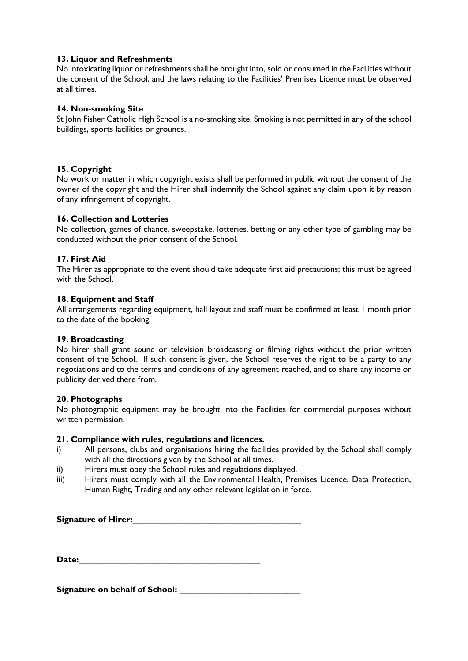#### **13. Liquor and Refreshments**

No intoxicating liquor or refreshments shall be brought into, sold or consumed in the Facilities without the consent of the School, and the laws relating to the Facilities' Premises Licence must be observed at all times.

#### **14. Non-smoking Site**

St John Fisher Catholic High School is a no-smoking site. Smoking is not permitted in any of the school buildings, sports facilities or grounds.

#### **15. Copyright**

No work or matter in which copyright exists shall be performed in public without the consent of the owner of the copyright and the Hirer shall indemnify the School against any claim upon it by reason of any infringement of copyright.

#### **16. Collection and Lotteries**

No collection, games of chance, sweepstake, lotteries, betting or any other type of gambling may be conducted without the prior consent of the School.

#### **17. First Aid**

The Hirer as appropriate to the event should take adequate first aid precautions; this must be agreed with the School.

#### **18. Equipment and Staff**

All arrangements regarding equipment, hall layout and staff must be confirmed at least 1 month prior to the date of the booking.

#### **19. Broadcasting**

No hirer shall grant sound or television broadcasting or filming rights without the prior written consent of the School. If such consent is given, the School reserves the right to be a party to any negotiations and to the terms and conditions of any agreement reached, and to share any income or publicity derived there from.

#### **20. Photographs**

No photographic equipment may be brought into the Facilities for commercial purposes without written permission.

#### **21. Compliance with rules, regulations and licences.**

- i) All persons, clubs and organisations hiring the facilities provided by the School shall comply with all the directions given by the School at all times.
- ii) Hirers must obey the School rules and regulations displayed.
- iii) Hirers must comply with all the Environmental Health, Premises Licence, Data Protection, Human Right, Trading and any other relevant legislation in force.

#### **Signature of Hirer:**

Date:

**Signature on behalf of School:**